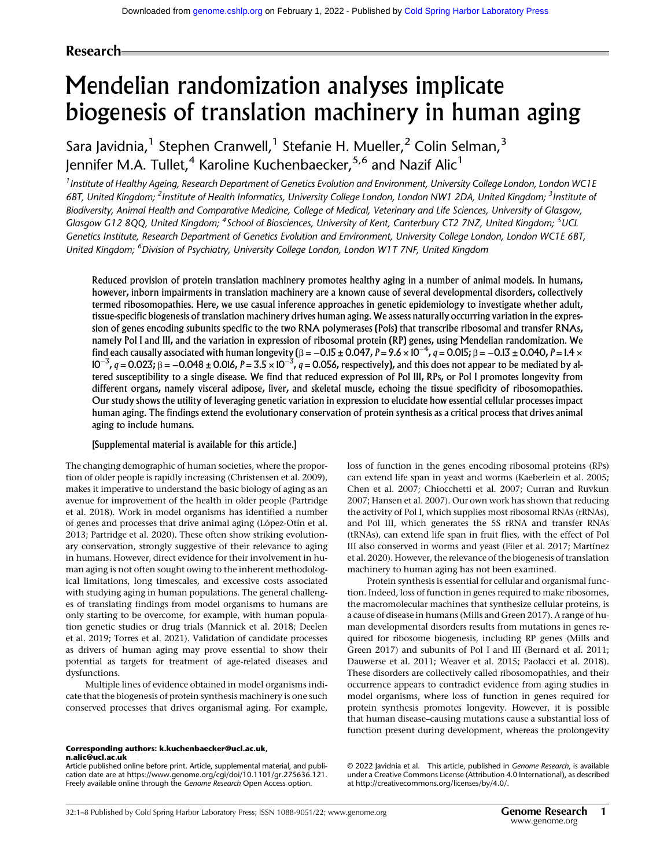# Research

# Mendelian randomization analyses implicate biogenesis of translation machinery in human aging

Sara Javidnia,<sup>1</sup> Stephen Cranwell,<sup>1</sup> Stefanie H. Mueller,<sup>2</sup> Colin Selman,<sup>3</sup> Jennifer M.A. Tullet,<sup>4</sup> Karoline Kuchenbaecker,<sup>5,6</sup> and Nazif Alic<sup>1</sup>

<sup>1</sup> Institute of Healthy Ageing, Research Department of Genetics Evolution and Environment, University College London, London WC1E 6BT, United Kingdom; <sup>2</sup>Institute of Health Informatics, University College London, London NW1 2DA, United Kingdom; <sup>3</sup>Institute of Biodiversity, Animal Health and Comparative Medicine, College of Medical, Veterinary and Life Sciences, University of Glasgow, Glasgow G12 8QQ, United Kingdom; <sup>4</sup>School of Biosciences, University of Kent, Canterbury CT2 7NZ, United Kingdom; <sup>5</sup>UCL Genetics Institute, Research Department of Genetics Evolution and Environment, University College London, London WC1E 6BT, United Kingdom; <sup>6</sup> Division of Psychiatry, University College London, London W1T 7NF, United Kingdom

Reduced provision of protein translation machinery promotes healthy aging in a number of animal models. In humans, however, inborn impairments in translation machinery are a known cause of several developmental disorders, collectively termed ribosomopathies. Here, we use casual inference approaches in genetic epidemiology to investigate whether adult, tissue-specific biogenesis of translation machinery drives human aging. We assess naturally occurring variation in the expression of genes encoding subunits specific to the two RNA polymerases (Pols) that transcribe ribosomal and transfer RNAs, namely Pol I and III, and the variation in expression of ribosomal protein (RP) genes, using Mendelian randomization. We find each causally associated with human longevity (β =  $-0.15\pm0.047$ , P = 9.6 × 10 $^{-4}$ , q = 0.015; β =  $-0.13\pm0.040$ , P = 1.4 ×  $10^{-3}$ ,  $q = 0.023$ ; β =  $-0.048 \pm 0.016$ , P = 3.5  $\times$  10 $^{-3}$ ,  $q$  = 0.056, respectively), and this does not appear to be mediated by altered susceptibility to a single disease. We find that reduced expression of Pol III, RPs, or Pol I promotes longevity from different organs, namely visceral adipose, liver, and skeletal muscle, echoing the tissue specificity of ribosomopathies. Our study shows the utility of leveraging genetic variation in expression to elucidate how essential cellular processes impact human aging. The findings extend the evolutionary conservation of protein synthesis as a critical process that drives animal aging to include humans.

### [Supplemental material is available for this article.]

The changing demographic of human societies, where the proportion of older people is rapidly increasing (Christensen et al. 2009), makes it imperative to understand the basic biology of aging as an avenue for improvement of the health in older people (Partridge et al. 2018). Work in model organisms has identified a number of genes and processes that drive animal aging (López-Otín et al. 2013; Partridge et al. 2020). These often show striking evolutionary conservation, strongly suggestive of their relevance to aging in humans. However, direct evidence for their involvement in human aging is not often sought owing to the inherent methodological limitations, long timescales, and excessive costs associated with studying aging in human populations. The general challenges of translating findings from model organisms to humans are only starting to be overcome, for example, with human population genetic studies or drug trials (Mannick et al. 2018; Deelen et al. 2019; Torres et al. 2021). Validation of candidate processes as drivers of human aging may prove essential to show their potential as targets for treatment of age-related diseases and dysfunctions.

Multiple lines of evidence obtained in model organisms indicate that the biogenesis of protein synthesis machinery is one such conserved processes that drives organismal aging. For example,

Corresponding authors: [k.kuchenbaecker@ucl.ac.uk](mailto:k.kuchenbaecker@ucl.ac.uk), [n.alic@ucl.ac.uk](mailto:n.alic@ucl.ac.uk)

Article published online before print. Article, supplemental material, and publication date are at [https://www.genome.org/cgi/doi/10.1101/gr.275636.121.](https://www.genome.org/cgi/doi/10.1101/gr.275636.121) Freely available online through the Genome Research Open Access option.

loss of function in the genes encoding ribosomal proteins (RPs) can extend life span in yeast and worms (Kaeberlein et al. 2005; Chen et al. 2007; Chiocchetti et al. 2007; Curran and Ruvkun 2007; Hansen et al. 2007). Our own work has shown that reducing the activity of Pol I, which supplies most ribosomal RNAs (rRNAs), and Pol III, which generates the 5S rRNA and transfer RNAs (tRNAs), can extend life span in fruit flies, with the effect of Pol III also conserved in worms and yeast (Filer et al. 2017; Martínez et al. 2020). However, the relevance of the biogenesis of translation machinery to human aging has not been examined.

Protein synthesis is essential for cellular and organismal function. Indeed, loss of function in genes required to make ribosomes, the macromolecular machines that synthesize cellular proteins, is a cause of disease in humans (Mills and Green 2017). A range of human developmental disorders results from mutations in genes required for ribosome biogenesis, including RP genes (Mills and Green 2017) and subunits of Pol I and III (Bernard et al. 2011; Dauwerse et al. 2011; Weaver et al. 2015; Paolacci et al. 2018). These disorders are collectively called ribosomopathies, and their occurrence appears to contradict evidence from aging studies in model organisms, where loss of function in genes required for protein synthesis promotes longevity. However, it is possible that human disease–causing mutations cause a substantial loss of function present during development, whereas the prolongevity

[© 2022 Javidnia et al.](http://genome.cshlp.org/site/misc/terms.xhtml) This article, published in Genome Research, is available under a Creative Commons License (Attribution 4.0 International), as described at [http://creativecommons.org/licenses/by/4.0/.](http://creativecommons.org/licenses/by/4.0/)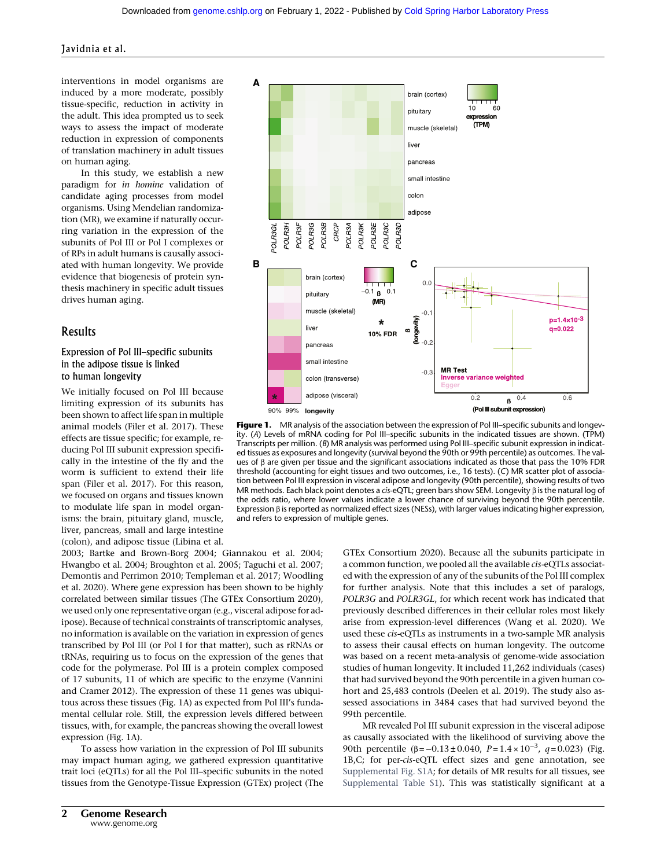interventions in model organisms are induced by a more moderate, possibly tissue-specific, reduction in activity in the adult. This idea prompted us to seek ways to assess the impact of moderate reduction in expression of components of translation machinery in adult tissues on human aging.

In this study, we establish a new paradigm for in homine validation of candidate aging processes from model organisms. Using Mendelian randomization (MR), we examine if naturally occurring variation in the expression of the subunits of Pol III or Pol I complexes or of RPs in adult humans is causally associated with human longevity. We provide evidence that biogenesis of protein synthesis machinery in specific adult tissues drives human aging.

# Results

# Expression of Pol III–specific subunits in the adipose tissue is linked to human longevity

We initially focused on Pol III because limiting expression of its subunits has been shown to affect life span in multiple animal models (Filer et al. 2017). These effects are tissue specific; for example, reducing Pol III subunit expression specifically in the intestine of the fly and the worm is sufficient to extend their life span (Filer et al. 2017). For this reason, we focused on organs and tissues known to modulate life span in model organisms: the brain, pituitary gland, muscle, liver, pancreas, small and large intestine (colon), and adipose tissue (Libina et al.

2003; Bartke and Brown-Borg 2004; Giannakou et al. 2004; Hwangbo et al. 2004; Broughton et al. 2005; Taguchi et al. 2007; Demontis and Perrimon 2010; Templeman et al. 2017; Woodling et al. 2020). Where gene expression has been shown to be highly correlated between similar tissues (The GTEx Consortium 2020), we used only one representative organ (e.g., visceral adipose for adipose). Because of technical constraints of transcriptomic analyses, no information is available on the variation in expression of genes transcribed by Pol III (or Pol I for that matter), such as rRNAs or tRNAs, requiring us to focus on the expression of the genes that code for the polymerase. Pol III is a protein complex composed of 17 subunits, 11 of which are specific to the enzyme (Vannini and Cramer 2012). The expression of these 11 genes was ubiquitous across these tissues (Fig. 1A) as expected from Pol III's fundamental cellular role. Still, the expression levels differed between tissues, with, for example, the pancreas showing the overall lowest expression (Fig. 1A).

To assess how variation in the expression of Pol III subunits may impact human aging, we gathered expression quantitative trait loci (eQTLs) for all the Pol III–specific subunits in the noted tissues from the Genotype-Tissue Expression (GTEx) project (The



Figure 1. MR analysis of the association between the expression of Pol III–specific subunits and longevity. (A) Levels of mRNA coding for Pol III–specific subunits in the indicated tissues are shown. (TPM) Transcripts per million. (B) MR analysis was performed using Pol III–specific subunit expression in indicated tissues as exposures and longevity (survival beyond the 90th or 99th percentile) as outcomes. The values of β are given per tissue and the significant associations indicated as those that pass the 10% FDR threshold (accounting for eight tissues and two outcomes, i.e., 16 tests). (C) MR scatter plot of association between Pol III expression in visceral adipose and longevity (90th percentile), showing results of two MR methods. Each black point denotes a cis-eQTL; green bars show SEM. Longevity β is the natural log of the odds ratio, where lower values indicate a lower chance of surviving beyond the 90th percentile. Expression β is reported as normalized effect sizes (NESs), with larger values indicating higher expression, and refers to expression of multiple genes.

GTEx Consortium 2020). Because all the subunits participate in a common function, we pooled all the available cis-eQTLs associated with the expression of any of the subunits of the Pol III complex for further analysis. Note that this includes a set of paralogs, POLR3G and POLR3GL, for which recent work has indicated that previously described differences in their cellular roles most likely arise from expression-level differences (Wang et al. 2020). We used these cis-eQTLs as instruments in a two-sample MR analysis to assess their causal effects on human longevity. The outcome was based on a recent meta-analysis of genome-wide association studies of human longevity. It included 11,262 individuals (cases) that had survived beyond the 90th percentile in a given human cohort and 25,483 controls (Deelen et al. 2019). The study also assessed associations in 3484 cases that had survived beyond the 99th percentile.

MR revealed Pol III subunit expression in the visceral adipose as causally associated with the likelihood of surviving above the 90th percentile  $(β = -0.13 ± 0.040, P = 1.4 × 10^{-3}, q = 0.023)$  (Fig. 1B, C; for per-cis-eQTL effect sizes and gene annotation, see [Supplemental Fig. S1A](http://genome.cshlp.org/lookup/suppl/doi:10.1101/gr.275636.121/-/DC1); for details of MR results for all tissues, see [Supplemental Table S1\)](http://genome.cshlp.org/lookup/suppl/doi:10.1101/gr.275636.121/-/DC1). This was statistically significant at a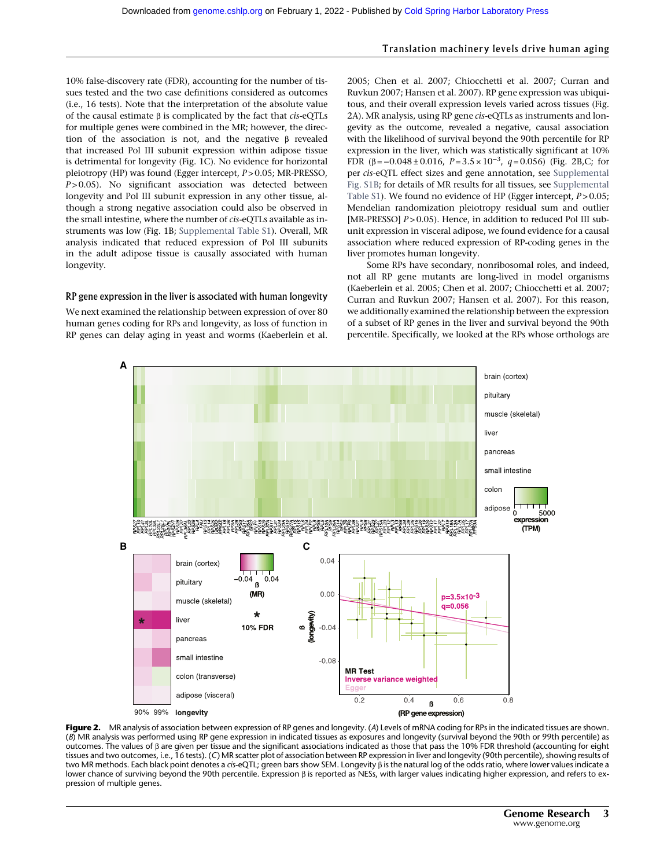# Translation machinery levels drive human aging

10% false-discovery rate (FDR), accounting for the number of tissues tested and the two case definitions considered as outcomes (i.e., 16 tests). Note that the interpretation of the absolute value of the causal estimate β is complicated by the fact that cis-eQTLs for multiple genes were combined in the MR; however, the direction of the association is not, and the negative β revealed that increased Pol III subunit expression within adipose tissue is detrimental for longevity (Fig. 1C). No evidence for horizontal pleiotropy (HP) was found (Egger intercept, P > 0.05; MR-PRESSO,  $P > 0.05$ ). No significant association was detected between longevity and Pol III subunit expression in any other tissue, although a strong negative association could also be observed in the small intestine, where the number of cis-eQTLs available as instruments was low (Fig. 1B; [Supplemental Table S1\)](http://genome.cshlp.org/lookup/suppl/doi:10.1101/gr.275636.121/-/DC1). Overall, MR analysis indicated that reduced expression of Pol III subunits in the adult adipose tissue is causally associated with human longevity.

#### RP gene expression in the liver is associated with human longevity

We next examined the relationship between expression of over 80 human genes coding for RPs and longevity, as loss of function in RP genes can delay aging in yeast and worms (Kaeberlein et al.

2005; Chen et al. 2007; Chiocchetti et al. 2007; Curran and Ruvkun 2007; Hansen et al. 2007). RP gene expression was ubiquitous, and their overall expression levels varied across tissues (Fig. 2A). MR analysis, using RP gene cis-eQTLs as instruments and longevity as the outcome, revealed a negative, causal association with the likelihood of survival beyond the 90th percentile for RP expression in the liver, which was statistically significant at 10% FDR (β =  $-0.048 \pm 0.016$ , P = 3.5 × 10<sup>-3</sup>, q = 0.056) (Fig. 2B,C; for per cis-eQTL effect sizes and gene annotation, see [Supplemental](http://genome.cshlp.org/lookup/suppl/doi:10.1101/gr.275636.121/-/DC1) [Fig. S1B;](http://genome.cshlp.org/lookup/suppl/doi:10.1101/gr.275636.121/-/DC1) for details of MR results for all tissues, see [Supplemental](http://genome.cshlp.org/lookup/suppl/doi:10.1101/gr.275636.121/-/DC1) [Table S1\)](http://genome.cshlp.org/lookup/suppl/doi:10.1101/gr.275636.121/-/DC1). We found no evidence of HP (Egger intercept,  $P > 0.05$ ; Mendelian randomization pleiotropy residual sum and outlier [MR-PRESSO]  $P > 0.05$ ). Hence, in addition to reduced Pol III subunit expression in visceral adipose, we found evidence for a causal association where reduced expression of RP-coding genes in the liver promotes human longevity.

Some RPs have secondary, nonribosomal roles, and indeed, not all RP gene mutants are long-lived in model organisms (Kaeberlein et al. 2005; Chen et al. 2007; Chiocchetti et al. 2007; Curran and Ruvkun 2007; Hansen et al. 2007). For this reason, we additionally examined the relationship between the expression of a subset of RP genes in the liver and survival beyond the 90th percentile. Specifically, we looked at the RPs whose orthologs are



Figure 2. MR analysis of association between expression of RP genes and longevity. (A) Levels of mRNA coding for RPs in the indicated tissues are shown. (B) MR analysis was performed using RP gene expression in indicated tissues as exposures and longevity (survival beyond the 90th or 99th percentile) as outcomes. The values of β are given per tissue and the significant associations indicated as those that pass the 10% FDR threshold (accounting for eight tissues and two outcomes, i.e., 16 tests). (C) MR scatter plot of association between RP expression in liver and longevity (90th percentile), showing results of two MR methods. Each black point denotes a cis-eQTL; green bars show SEM. Longevity β is the natural log of the odds ratio, where lower values indicate a lower chance of surviving beyond the 90th percentile. Expression β is reported as NESs, with larger values indicating higher expression, and refers to expression of multiple genes.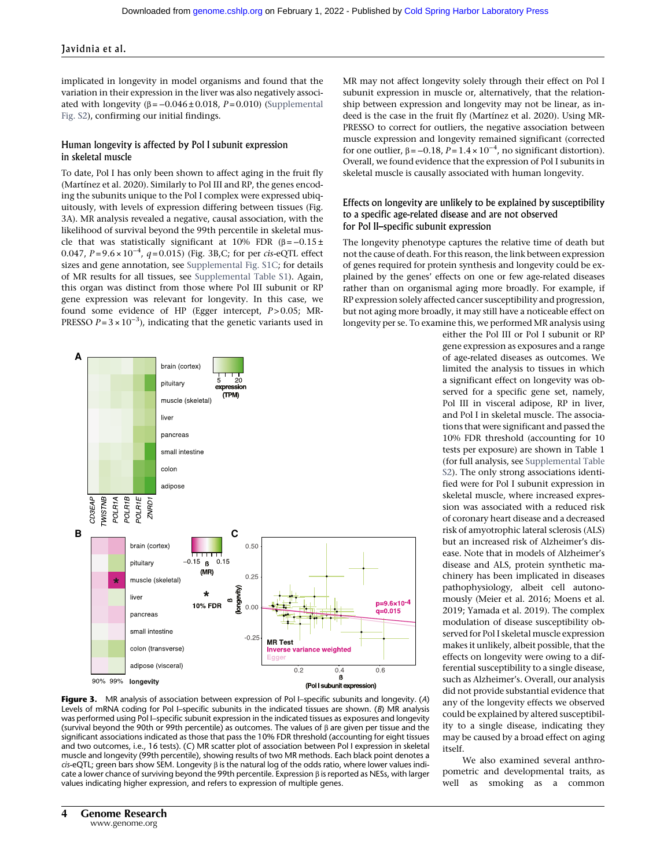implicated in longevity in model organisms and found that the variation in their expression in the liver was also negatively associated with longevity  $(\beta = -0.046 \pm 0.018, P = 0.010)$  [\(Supplemental](http://genome.cshlp.org/lookup/suppl/doi:10.1101/gr.275636.121/-/DC1) [Fig. S2\)](http://genome.cshlp.org/lookup/suppl/doi:10.1101/gr.275636.121/-/DC1), confirming our initial findings.

### Human longevity is affected by Pol I subunit expression in skeletal muscle

To date, Pol I has only been shown to affect aging in the fruit fly (Martínez et al. 2020). Similarly to Pol III and RP, the genes encoding the subunits unique to the Pol I complex were expressed ubiquitously, with levels of expression differing between tissues (Fig. 3A). MR analysis revealed a negative, causal association, with the likelihood of survival beyond the 99th percentile in skeletal muscle that was statistically significant at 10% FDR ( $\beta = -0.15 \pm$ 0.047,  $P = 9.6 \times 10^{-4}$ ,  $q = 0.015$ ) (Fig. 3B,C; for per cis-eQTL effect sizes and gene annotation, see [Supplemental Fig. S1C;](http://genome.cshlp.org/lookup/suppl/doi:10.1101/gr.275636.121/-/DC1) for details of MR results for all tissues, see [Supplemental Table S1](http://genome.cshlp.org/lookup/suppl/doi:10.1101/gr.275636.121/-/DC1)). Again, this organ was distinct from those where Pol III subunit or RP gene expression was relevant for longevity. In this case, we found some evidence of HP (Egger intercept, P > 0.05; MR-PRESSO  $P = 3 \times 10^{-3}$ ), indicating that the genetic variants used in



Figure 3. MR analysis of association between expression of Pol I-specific subunits and longevity. (A) Levels of mRNA coding for Pol I–specific subunits in the indicated tissues are shown. (B) MR analysis was performed using Pol I–specific subunit expression in the indicated tissues as exposures and longevity (survival beyond the 90th or 99th percentile) as outcomes. The values of β are given per tissue and the significant associations indicated as those that pass the 10% FDR threshold (accounting for eight tissues and two outcomes, i.e., 16 tests). (C) MR scatter plot of association between Pol I expression in skeletal muscle and longevity (99th percentile), showing results of two MR methods. Each black point denotes a cis-eQTL; green bars show SEM. Longevity  $\beta$  is the natural log of the odds ratio, where lower values indicate a lower chance of surviving beyond the 99th percentile. Expression β is reported as NESs, with larger values indicating higher expression, and refers to expression of multiple genes.

MR may not affect longevity solely through their effect on Pol I subunit expression in muscle or, alternatively, that the relationship between expression and longevity may not be linear, as indeed is the case in the fruit fly (Martínez et al. 2020). Using MR-PRESSO to correct for outliers, the negative association between muscle expression and longevity remained significant (corrected for one outlier,  $β = -0.18$ ,  $P = 1.4 \times 10^{-4}$ , no significant distortion). Overall, we found evidence that the expression of Pol I subunits in skeletal muscle is causally associated with human longevity.

### Effects on longevity are unlikely to be explained by susceptibility to a specific age-related disease and are not observed for Pol II–specific subunit expression

The longevity phenotype captures the relative time of death but not the cause of death. For this reason, the link between expression of genes required for protein synthesis and longevity could be explained by the genes' effects on one or few age-related diseases rather than on organismal aging more broadly. For example, if RP expression solely affected cancer susceptibility and progression, but not aging more broadly, it may still have a noticeable effect on longevity per se. To examine this, we performed MR analysis using

> either the Pol III or Pol I subunit or RP gene expression as exposures and a range of age-related diseases as outcomes. We limited the analysis to tissues in which a significant effect on longevity was observed for a specific gene set, namely, Pol III in visceral adipose, RP in liver, and Pol I in skeletal muscle. The associations that were significant and passed the 10% FDR threshold (accounting for 10 tests per exposure) are shown in Table 1 (for full analysis, see [Supplemental Table](http://genome.cshlp.org/lookup/suppl/doi:10.1101/gr.275636.121/-/DC1) [S2\)](http://genome.cshlp.org/lookup/suppl/doi:10.1101/gr.275636.121/-/DC1). The only strong associations identified were for Pol I subunit expression in skeletal muscle, where increased expression was associated with a reduced risk of coronary heart disease and a decreased risk of amyotrophic lateral sclerosis (ALS) but an increased risk of Alzheimer's disease. Note that in models of Alzheimer's disease and ALS, protein synthetic machinery has been implicated in diseases pathophysiology, albeit cell autonomously (Meier et al. 2016; Moens et al. 2019; Yamada et al. 2019). The complex modulation of disease susceptibility observed for Pol I skeletal muscle expression makes it unlikely, albeit possible, that the effects on longevity were owing to a differential susceptibility to a single disease, such as Alzheimer's. Overall, our analysis did not provide substantial evidence that any of the longevity effects we observed could be explained by altered susceptibility to a single disease, indicating they may be caused by a broad effect on aging itself.

We also examined several anthropometric and developmental traits, as well as smoking as a common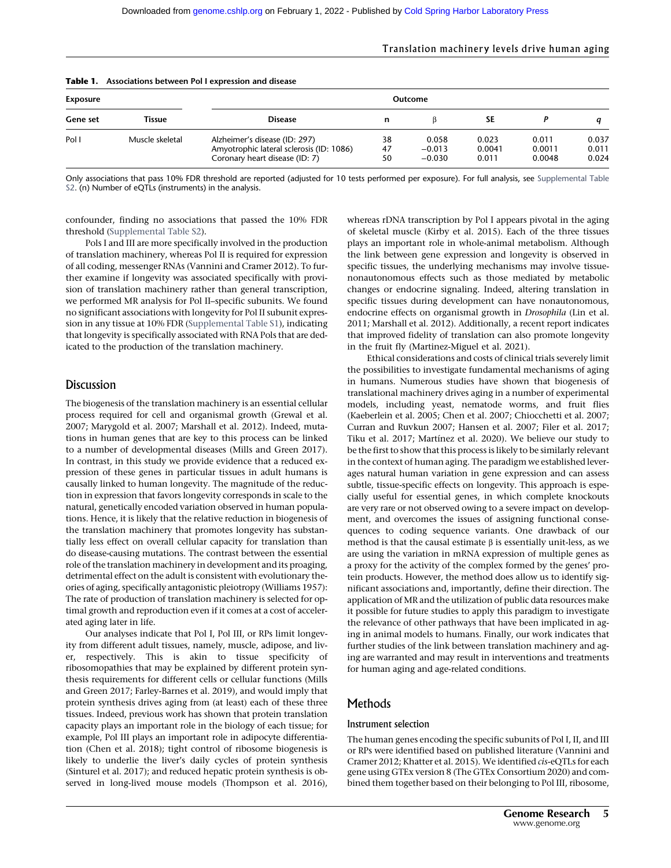#### Translation machinery levels drive human aging

| Table 1.<br>Associations between Pol I expression and disease |                 |                                                                                                             |                |                               |                          |                           |                         |
|---------------------------------------------------------------|-----------------|-------------------------------------------------------------------------------------------------------------|----------------|-------------------------------|--------------------------|---------------------------|-------------------------|
| <b>Exposure</b>                                               |                 | Outcome                                                                                                     |                |                               |                          |                           |                         |
| Gene set                                                      | Tissue          | <b>Disease</b>                                                                                              | n              |                               | SЕ                       |                           |                         |
| Pol I                                                         | Muscle skeletal | Alzheimer's disease (ID: 297)<br>Amyotrophic lateral sclerosis (ID: 1086)<br>Coronary heart disease (ID: 7) | 38<br>47<br>50 | 0.058<br>$-0.013$<br>$-0.030$ | 0.023<br>0.0041<br>0.011 | 0.011<br>0.0011<br>0.0048 | 0.037<br>0.011<br>0.024 |

# Table 1. Associations between Pol I expression and disease

Only associations that pass 10% FDR threshold are reported (adjusted for 10 tests performed per exposure). For full analysis, see [Supplemental Table](http://genome.cshlp.org/lookup/suppl/doi:10.1101/gr.275636.121/-/DC1) [S2](http://genome.cshlp.org/lookup/suppl/doi:10.1101/gr.275636.121/-/DC1). (n) Number of eQTLs (instruments) in the analysis.

confounder, finding no associations that passed the 10% FDR threshold [\(Supplemental Table S2\)](http://genome.cshlp.org/lookup/suppl/doi:10.1101/gr.275636.121/-/DC1).

Pols I and III are more specifically involved in the production of translation machinery, whereas Pol II is required for expression of all coding, messenger RNAs (Vannini and Cramer 2012). To further examine if longevity was associated specifically with provision of translation machinery rather than general transcription, we performed MR analysis for Pol II–specific subunits. We found no significant associations with longevity for Pol II subunit expression in any tissue at 10% FDR [\(Supplemental Table S1\)](http://genome.cshlp.org/lookup/suppl/doi:10.1101/gr.275636.121/-/DC1), indicating that longevity is specifically associated with RNA Pols that are dedicated to the production of the translation machinery.

# Discussion

The biogenesis of the translation machinery is an essential cellular process required for cell and organismal growth (Grewal et al. 2007; Marygold et al. 2007; Marshall et al. 2012). Indeed, mutations in human genes that are key to this process can be linked to a number of developmental diseases (Mills and Green 2017). In contrast, in this study we provide evidence that a reduced expression of these genes in particular tissues in adult humans is causally linked to human longevity. The magnitude of the reduction in expression that favors longevity corresponds in scale to the natural, genetically encoded variation observed in human populations. Hence, it is likely that the relative reduction in biogenesis of the translation machinery that promotes longevity has substantially less effect on overall cellular capacity for translation than do disease-causing mutations. The contrast between the essential role of the translation machinery in development and its proaging, detrimental effect on the adult is consistent with evolutionary theories of aging, specifically antagonistic pleiotropy (Williams 1957): The rate of production of translation machinery is selected for optimal growth and reproduction even if it comes at a cost of accelerated aging later in life.

Our analyses indicate that Pol I, Pol III, or RPs limit longevity from different adult tissues, namely, muscle, adipose, and liver, respectively. This is akin to tissue specificity of ribosomopathies that may be explained by different protein synthesis requirements for different cells or cellular functions (Mills and Green 2017; Farley-Barnes et al. 2019), and would imply that protein synthesis drives aging from (at least) each of these three tissues. Indeed, previous work has shown that protein translation capacity plays an important role in the biology of each tissue; for example, Pol III plays an important role in adipocyte differentiation (Chen et al. 2018); tight control of ribosome biogenesis is likely to underlie the liver's daily cycles of protein synthesis (Sinturel et al. 2017); and reduced hepatic protein synthesis is observed in long-lived mouse models (Thompson et al. 2016),

whereas rDNA transcription by Pol I appears pivotal in the aging of skeletal muscle (Kirby et al. 2015). Each of the three tissues plays an important role in whole-animal metabolism. Although the link between gene expression and longevity is observed in specific tissues, the underlying mechanisms may involve tissuenonautonomous effects such as those mediated by metabolic changes or endocrine signaling. Indeed, altering translation in specific tissues during development can have nonautonomous, endocrine effects on organismal growth in Drosophila (Lin et al. 2011; Marshall et al. 2012). Additionally, a recent report indicates that improved fidelity of translation can also promote longevity in the fruit fly (Martinez-Miguel et al. 2021).

Ethical considerations and costs of clinical trials severely limit the possibilities to investigate fundamental mechanisms of aging in humans. Numerous studies have shown that biogenesis of translational machinery drives aging in a number of experimental models, including yeast, nematode worms, and fruit flies (Kaeberlein et al. 2005; Chen et al. 2007; Chiocchetti et al. 2007; Curran and Ruvkun 2007; Hansen et al. 2007; Filer et al. 2017; Tiku et al. 2017; Martínez et al. 2020). We believe our study to be the first to show that this process is likely to be similarly relevant in the context of human aging. The paradigm we established leverages natural human variation in gene expression and can assess subtle, tissue-specific effects on longevity. This approach is especially useful for essential genes, in which complete knockouts are very rare or not observed owing to a severe impact on development, and overcomes the issues of assigning functional consequences to coding sequence variants. One drawback of our method is that the causal estimate  $\beta$  is essentially unit-less, as we are using the variation in mRNA expression of multiple genes as a proxy for the activity of the complex formed by the genes' protein products. However, the method does allow us to identify significant associations and, importantly, define their direction. The application of MR and the utilization of public data resources make it possible for future studies to apply this paradigm to investigate the relevance of other pathways that have been implicated in aging in animal models to humans. Finally, our work indicates that further studies of the link between translation machinery and aging are warranted and may result in interventions and treatments for human aging and age-related conditions.

# **Methods**

#### Instrument selection

The human genes encoding the specific subunits of Pol I, II, and III or RPs were identified based on published literature (Vannini and Cramer 2012; Khatter et al. 2015). We identified cis-eQTLs for each gene using GTEx version 8 (The GTEx Consortium 2020) and combined them together based on their belonging to Pol III, ribosome,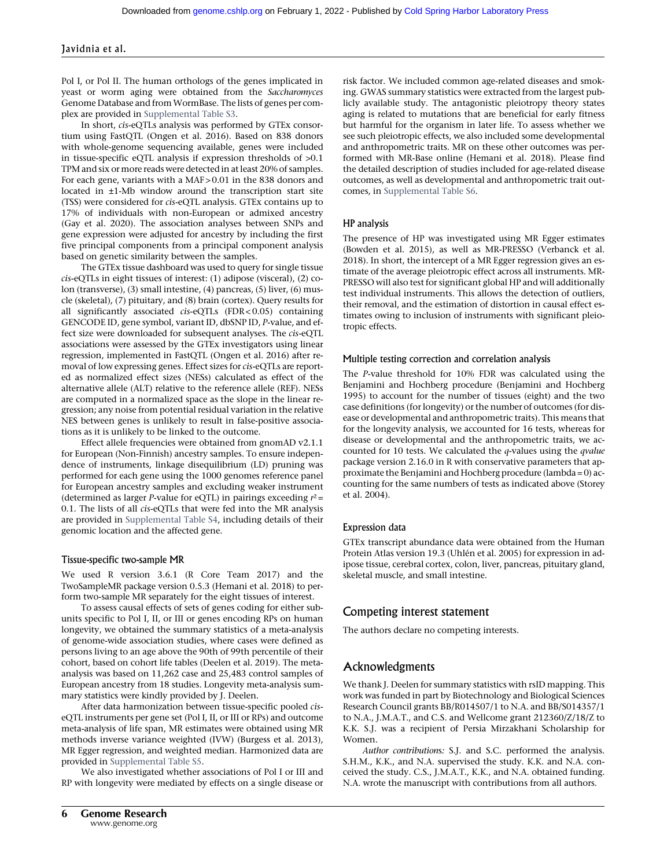Pol I, or Pol II. The human orthologs of the genes implicated in yeast or worm aging were obtained from the Saccharomyces Genome Database and fromWormBase. The lists of genes per complex are provided in [Supplemental Table S3.](http://genome.cshlp.org/lookup/suppl/doi:10.1101/gr.275636.121/-/DC1)

In short, cis-eQTLs analysis was performed by GTEx consortium using FastQTL (Ongen et al. 2016). Based on 838 donors with whole-genome sequencing available, genes were included in tissue-specific eQTL analysis if expression thresholds of >0.1 TPM and six or more reads were detected in at least 20% of samples. For each gene, variants with a MAF > 0.01 in the 838 donors and located in ±1-Mb window around the transcription start site (TSS) were considered for cis-eQTL analysis. GTEx contains up to 17% of individuals with non-European or admixed ancestry (Gay et al. 2020). The association analyses between SNPs and gene expression were adjusted for ancestry by including the first five principal components from a principal component analysis based on genetic similarity between the samples.

The GTEx tissue dashboard was used to query for single tissue cis-eQTLs in eight tissues of interest: (1) adipose (visceral), (2) colon (transverse), (3) small intestine, (4) pancreas, (5) liver, (6) muscle (skeletal), (7) pituitary, and (8) brain (cortex). Query results for all significantly associated cis-eQTLs (FDR < 0.05) containing GENCODE ID, gene symbol, variant ID, dbSNP ID, P-value, and effect size were downloaded for subsequent analyses. The cis-eQTL associations were assessed by the GTEx investigators using linear regression, implemented in FastQTL (Ongen et al. 2016) after removal of low expressing genes. Effect sizes for cis-eQTLs are reported as normalized effect sizes (NESs) calculated as effect of the alternative allele (ALT) relative to the reference allele (REF). NESs are computed in a normalized space as the slope in the linear regression; any noise from potential residual variation in the relative NES between genes is unlikely to result in false-positive associations as it is unlikely to be linked to the outcome.

Effect allele frequencies were obtained from gnomAD v2.1.1 for European (Non-Finnish) ancestry samples. To ensure independence of instruments, linkage disequilibrium (LD) pruning was performed for each gene using the 1000 genomes reference panel for European ancestry samples and excluding weaker instrument (determined as larger *P*-value for eQTL) in pairings exceeding  $r^2$  = 0.1. The lists of all cis-eQTLs that were fed into the MR analysis are provided in [Supplemental Table S4,](http://genome.cshlp.org/lookup/suppl/doi:10.1101/gr.275636.121/-/DC1) including details of their genomic location and the affected gene.

#### Tissue-specific two-sample MR

We used R version 3.6.1 (R Core Team 2017) and the TwoSampleMR package version 0.5.3 (Hemani et al. 2018) to perform two-sample MR separately for the eight tissues of interest.

To assess causal effects of sets of genes coding for either subunits specific to Pol I, II, or III or genes encoding RPs on human longevity, we obtained the summary statistics of a meta-analysis of genome-wide association studies, where cases were defined as persons living to an age above the 90th of 99th percentile of their cohort, based on cohort life tables (Deelen et al. 2019). The metaanalysis was based on 11,262 case and 25,483 control samples of European ancestry from 18 studies. Longevity meta-analysis summary statistics were kindly provided by J. Deelen.

After data harmonization between tissue-specific pooled ciseQTL instruments per gene set (Pol I, II, or III or RPs) and outcome meta-analysis of life span, MR estimates were obtained using MR methods inverse variance weighted (IVW) (Burgess et al. 2013), MR Egger regression, and weighted median. Harmonized data are provided in [Supplemental Table S5](http://genome.cshlp.org/lookup/suppl/doi:10.1101/gr.275636.121/-/DC1).

We also investigated whether associations of Pol I or III and RP with longevity were mediated by effects on a single disease or

risk factor. We included common age-related diseases and smoking. GWAS summary statistics were extracted from the largest publicly available study. The antagonistic pleiotropy theory states aging is related to mutations that are beneficial for early fitness but harmful for the organism in later life. To assess whether we see such pleiotropic effects, we also included some developmental and anthropometric traits. MR on these other outcomes was performed with MR-Base online (Hemani et al. 2018). Please find the detailed description of studies included for age-related disease outcomes, as well as developmental and anthropometric trait outcomes, in [Supplemental Table S6.](http://genome.cshlp.org/lookup/suppl/doi:10.1101/gr.275636.121/-/DC1)

#### HP analysis

The presence of HP was investigated using MR Egger estimates (Bowden et al. 2015), as well as MR-PRESSO (Verbanck et al. 2018). In short, the intercept of a MR Egger regression gives an estimate of the average pleiotropic effect across all instruments. MR-PRESSO will also test for significant global HP and will additionally test individual instruments. This allows the detection of outliers, their removal, and the estimation of distortion in causal effect estimates owing to inclusion of instruments with significant pleiotropic effects.

#### Multiple testing correction and correlation analysis

The P-value threshold for 10% FDR was calculated using the Benjamini and Hochberg procedure (Benjamini and Hochberg 1995) to account for the number of tissues (eight) and the two case definitions (for longevity) or the number of outcomes (for disease or developmental and anthropometric traits). This means that for the longevity analysis, we accounted for 16 tests, whereas for disease or developmental and the anthropometric traits, we accounted for 10 tests. We calculated the  $q$ -values using the  $q$ value package version 2.16.0 in R with conservative parameters that approximate the Benjamini and Hochberg procedure (lambda = 0) accounting for the same numbers of tests as indicated above (Storey et al. 2004).

#### Expression data

GTEx transcript abundance data were obtained from the Human Protein Atlas version 19.3 (Uhlén et al. 2005) for expression in adipose tissue, cerebral cortex, colon, liver, pancreas, pituitary gland, skeletal muscle, and small intestine.

# Competing interest statement

The authors declare no competing interests.

# Acknowledgments

We thank J. Deelen for summary statistics with rsID mapping. This work was funded in part by Biotechnology and Biological Sciences Research Council grants BB/R014507/1 to N.A. and BB/S014357/1 to N.A., J.M.A.T., and C.S. and Wellcome grant 212360/Z/18/Z to K.K. S.J. was a recipient of Persia Mirzakhani Scholarship for Women.

Author contributions: S.J. and S.C. performed the analysis. S.H.M., K.K., and N.A. supervised the study. K.K. and N.A. conceived the study. C.S., J.M.A.T., K.K., and N.A. obtained funding. N.A. wrote the manuscript with contributions from all authors.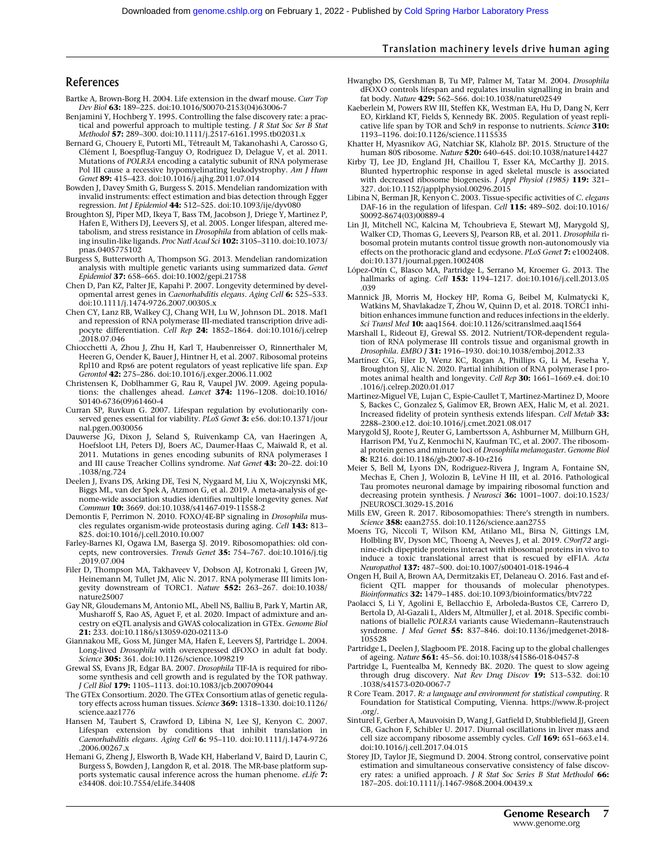# Translation machinery levels drive human aging

# References

- Bartke A, Brown-Borg H. 2004. Life extension in the dwarf mouse. Curr Top Dev Biol 63: 189–225. doi:10.1016/S0070-2153(04)63006-7
- Benjamini Y, Hochberg Y. 1995. Controlling the false discovery rate: a practical and powerful approach to multiple testing. J R Stat Soc Ser B Stat Methodol 57: 289–300. doi:10.1111/j.2517-6161.1995.tb02031.x
- Bernard G, Chouery E, Putorti ML, Tétreault M, Takanohashi A, Carosso G, Clément I, Boespflug-Tanguy O, Rodriguez D, Delague V, et al. 2011. Mutations of POLR3A encoding a catalytic subunit of RNA polymerase Pol III cause a recessive hypomyelinating leukodystrophy. Am J Hum Genet 89: 415-423. doi:10.1016/j.ajhg.2011.07.014
- Bowden J, Davey Smith G, Burgess S. 2015. Mendelian randomization with invalid instruments: effect estimation and bias detection through Egger regression. Int J Epidemiol 44: 512-525. doi:10.1093/ije/dyv080
- Broughton SJ, Piper MD, Ikeya T, Bass TM, Jacobson J, Driege Y, Martinez P, Hafen E, Withers DJ, Leevers SJ, et al. 2005. Longer lifespan, altered metabolism, and stress resistance in Drosophila from ablation of cells making insulin-like ligands. Proc Natl Acad Sci 102: 3105–3110. doi:10.1073/ pnas.0405775102
- Burgess S, Butterworth A, Thompson SG. 2013. Mendelian randomization analysis with multiple genetic variants using summarized data. Genet Epidemiol 37: 658–665. doi:10.1002/gepi.21758
- Chen D, Pan KZ, Palter JE, Kapahi P. 2007. Longevity determined by developmental arrest genes in Caenorhabditis elegans. Aging Cell 6: 525–533. doi:10.1111/j.1474-9726.2007.00305.x
- Chen CY, Lanz RB, Walkey CJ, Chang WH, Lu W, Johnson DL. 2018. Maf1 and repression of RNA polymerase III-mediated transcription drive adipocyte differentiation. Cell Rep 24: 1852–1864. doi:10.1016/j.celrep .2018.07.046
- Chiocchetti A, Zhou J, Zhu H, Karl T, Haubenreisser O, Rinnerthaler M, Heeren G, Oender K, Bauer J, Hintner H, et al. 2007. Ribosomal proteins Rpl10 and Rps6 are potent regulators of yeast replicative life span. Exp Gerontol 42: 275–286. doi:10.1016/j.exger.2006.11.002
- Christensen K, Doblhammer G, Rau R, Vaupel JW. 2009. Ageing populations: the challenges ahead. *Lancet* 374: 1196-1208. doi:10.1016/ S0140-6736(09)61460-4
- Curran SP, Ruvkun G. 2007. Lifespan regulation by evolutionarily conserved genes essential for viability. PLoS Genet 3: e56. doi:10.1371/jour nal.pgen.0030056
- Dauwerse JG, Dixon J, Seland S, Ruivenkamp CA, van Haeringen A, Hoefsloot LH, Peters DJ, Boers AC, Daumer-Haas C, Maiwald R, et al. 2011. Mutations in genes encoding subunits of RNA polymerases I and III cause Treacher Collins syndrome. Nat Genet 43: 20–22. doi:10 .1038/ng.724
- Deelen J, Evans DS, Arking DE, Tesi N, Nygaard M, Liu X, Wojczynski MK, Biggs ML, van der Spek A, Atzmon G, et al. 2019. A meta-analysis of genome-wide association studies identifies multiple longevity genes. Nat Commun 10: 3669. doi:10.1038/s41467-019-11558-2
- Demontis F, Perrimon N. 2010. FOXO/4E-BP signaling in Drosophila muscles regulates organism-wide proteostasis during aging. Cell 143: 813– 825. doi:10.1016/j.cell.2010.10.007
- Farley-Barnes KI, Ogawa LM, Baserga SJ. 2019. Ribosomopathies: old concepts, new controversies. Trends Genet 35: 754–767. doi:10.1016/j.tig .2019.07.004
- Filer D, Thompson MA, Takhaveev V, Dobson AJ, Kotronaki I, Green JW, Heinemann M, Tullet JM, Alic N. 2017. RNA polymerase III limits longevity downstream of TORC1. Nature 552: 263–267. doi:10.1038/ nature25007
- Gay NR, Gloudemans M, Antonio ML, Abell NS, Balliu B, Park Y, Martin AR, Musharoff S, Rao AS, Aguet F, et al. 2020. Impact of admixture and ancestry on eQTL analysis and GWAS colocalization in GTEx. Genome Biol 21: 233. doi:10.1186/s13059-020-02113-0
- Giannakou ME, Goss M, Jünger MA, Hafen E, Leevers SJ, Partridge L. 2004. Long-lived Drosophila with overexpressed dFOXO in adult fat body. Science 305: 361. doi:10.1126/science.1098219
- Grewal SS, Evans JR, Edgar BA. 2007. Drosophila TIF-IA is required for ribosome synthesis and cell growth and is regulated by the TOR pathway. J Cell Biol 179: 1105-1113. doi:10.1083/jcb.200709044
- The GTEx Consortium. 2020. The GTEx Consortium atlas of genetic regulatory effects across human tissues. Science 369: 1318-1330. doi:10.1126/ science.aaz1776
- Hansen M, Taubert S, Crawford D, Libina N, Lee SJ, Kenyon C. 2007. Lifespan extension by conditions that inhibit translation in Caenorhabditis elegans. Aging Cell 6: 95-110. doi:10.1111/j.1474-9726 .2006.00267.x
- Hemani G, Zheng J, Elsworth B, Wade KH, Haberland V, Baird D, Laurin C, Burgess S, Bowden J, Langdon R, et al. 2018. The MR-base platform supports systematic causal inference across the human phenome. eLife 7: e34408. doi:10.7554/eLife.34408
- Hwangbo DS, Gershman B, Tu MP, Palmer M, Tatar M. 2004. Drosophila dFOXO controls lifespan and regulates insulin signalling in brain and fat body. Nature 429: 562–566. doi:10.1038/nature02549
- Kaeberlein M, Powers RW III, Steffen KK, Westman EA, Hu D, Dang N, Kerr EO, Kirkland KT, Fields S, Kennedy BK. 2005. Regulation of yeast replicative life span by TOR and Sch9 in response to nutrients. Science 310: 1193–1196. doi:10.1126/science.1115535
- Khatter H, Myasnikov AG, Natchiar SK, Klaholz BP. 2015. Structure of the human 80S ribosome. Nature 520: 640–645. doi:10.1038/nature14427
- Kirby TJ, Lee JD, England JH, Chaillou T, Esser KA, McCarthy JJ. 2015. Blunted hypertrophic response in aged skeletal muscle is associated with decreased ribosome biogenesis. J Appl Physiol (1985) 119: 321-327. doi:10.1152/japplphysiol.00296.2015
- Libina N, Berman JR, Kenyon C. 2003. Tissue-specific activities of C. elegans DAF-16 in the regulation of lifespan. Cell 115: 489-502. doi:10.1016/ S0092-8674(03)00889-4
- Lin JI, Mitchell NC, Kalcina M, Tchoubrieva E, Stewart MJ, Marygold SJ, Walker CD, Thomas G, Leevers SJ, Pearson RB, et al. 2011. Drosophila ribosomal protein mutants control tissue growth non-autonomously via effects on the prothoracic gland and ecdysone. PLoS Genet 7: e1002408. doi:10.1371/journal.pgen.1002408
- López-Otín C, Blasco MA, Partridge L, Serrano M, Kroemer G. 2013. The hallmarks of aging. Cell 153: 1194-1217. doi:10.1016/j.cell.2013.05 .039
- Mannick JB, Morris M, Hockey HP, Roma G, Beibel M, Kulmatycki K, Watkins M, Shavlakadze T, Zhou W, Quinn D, et al. 2018. TORC1 inhibition enhances immune function and reduces infections in the elderly. Sci Transl Med 10: aaq1564. doi:10.1126/scitranslmed.aaq1564
- Marshall L, Rideout EJ, Grewal SS. 2012. Nutrient/TOR-dependent regulation of RNA polymerase III controls tissue and organismal growth in<br>*Drosophila. EMBO J* **31:** 1916–1930. doi:10.1038/emboj.2012.33
- Martínez CG, Filer D, Wenz KC, Rogan A, Phillips G, Li M, Feseha Y, Broughton SJ, Alic N. 2020. Partial inhibition of RNA polymerase I promotes animal health and longevity. Cell Rep 30: 1661–1669.e4. doi:10 .1016/j.celrep.2020.01.017
- Martinez-Miguel VE, Lujan C, Espie-Caullet T, Martinez-Martinez D, Moore S, Backes C, Gonzalez S, Galimov ER, Brown AEX, Halic M, et al. 2021. Increased fidelity of protein synthesis extends lifespan. Cell Metab 33: 2288–2300.e12. doi:10.1016/j.cmet.2021.08.017
- Marygold SJ, Roote J, Reuter G, Lambertsson A, Ashburner M, Millburn GH, Harrison PM, Yu Z, Kenmochi N, Kaufman TC, et al. 2007. The ribosomal protein genes and minute loci of Drosophila melanogaster. Genome Biol 8: R216. doi:10.1186/gb-2007-8-10-r216
- Meier S, Bell M, Lyons DN, Rodriguez-Rivera J, Ingram A, Fontaine SN, Mechas E, Chen J, Wolozin B, LeVine H III, et al. 2016. Pathological Tau promotes neuronal damage by impairing ribosomal function and<br>decreasing protein synthesis. *J Neurosci* **36:** 1001–1007. doi:10.1523/ JNEUROSCI.3029-15.2016
- Mills EW, Green R. 2017. Ribosomopathies: There's strength in numbers. Science 358: eaan2755. doi:10.1126/science.aan2755
- Moens TG, Niccoli T, Wilson KM, Atilano ML, Birsa N, Gittings LM, Holbling BV, Dyson MC, Thoeng A, Neeves J, et al. 2019. C9orf72 arginine-rich dipeptide proteins interact with ribosomal proteins in vivo to induce a toxic translational arrest that is rescued by eIF1A. Acta Neuropathol 137: 487–500. doi:10.1007/s00401-018-1946-4
- Ongen H, Buil A, Brown AA, Dermitzakis ET, Delaneau O. 2016. Fast and efficient QTL mapper for thousands of molecular phenotypes.<br>*Bioinformatics* **32:** 1479–1485. doi:10.1093/bioinformatics/btv722
- Paolacci S, Li Y, Agolini E, Bellacchio E, Arboleda-Bustos CE, Carrero D, Bertola D, Al-Gazali L, Alders M, Altmüller J, et al. 2018. Specific combinations of biallelic POLR3A variants cause Wiedemann–Rautenstrauch syndrome. J Med Genet 55: 837–846. doi:10.1136/jmedgenet-2018- 105528
- Partridge L, Deelen J, Slagboom PE. 2018. Facing up to the global challenges of ageing. Nature 561: 45–56. doi:10.1038/s41586-018-0457-8
- Partridge L, Fuentealba M, Kennedy BK. 2020. The quest to slow ageing through drug discovery. Nat Rev Drug Discov 19: 513-532. doi:10 .1038/s41573-020-0067-7
- R Core Team. 2017. R: a language and environment for statistical computing. R Foundation for Statistical Computing, Vienna. [https://www.R-project](https://www.R-project.org/) [.org/](https://www.R-project.org/).
- Sinturel F, Gerber A, Mauvoisin D, Wang J, Gatfield D, Stubblefield JJ, Green CB, Gachon F, Schibler U. 2017. Diurnal oscillations in liver mass and cell size accompany ribosome assembly cycles. Cell 169: 651-663.e14. doi:10.1016/j.cell.2017.04.015
- Storey JD, Taylor JE, Siegmund D. 2004. Strong control, conservative point estimation and simultaneous conservative consistency of false discovery rates: a unified approach. J R Stat Soc Series B Stat Methodol 66: 187–205. doi:10.1111/j.1467-9868.2004.00439.x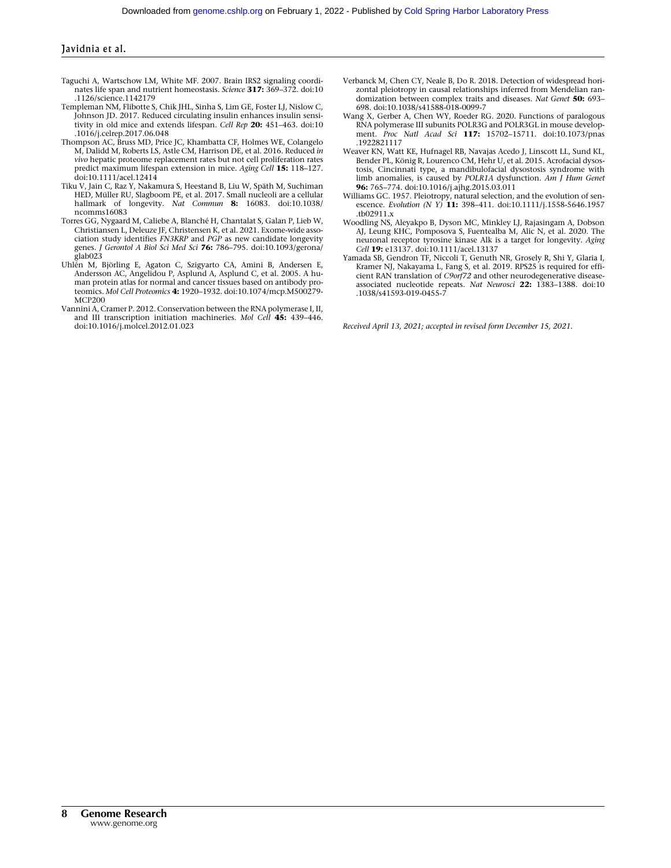- Taguchi A, Wartschow LM, White MF. 2007. Brain IRS2 signaling coordinates life span and nutrient homeostasis. Science 317: 369-372. doi:10 .1126/science.1142179
- Templeman NM, Flibotte S, Chik JHL, Sinha S, Lim GE, Foster LJ, Nislow C, Johnson JD. 2017. Reduced circulating insulin enhances insulin sensitivity in old mice and extends lifespan. Cell Rep 20: 451-463. doi:10 .1016/j.celrep.2017.06.048
- Thompson AC, Bruss MD, Price JC, Khambatta CF, Holmes WE, Colangelo M, Dalidd M, Roberts LS, Astle CM, Harrison DE, et al. 2016. Reduced in vivo hepatic proteome replacement rates but not cell proliferation rates predict maximum lifespan extension in mice. Aging Cell 15: 118-127. doi:10.1111/acel.12414
- Tiku V, Jain C, Raz Y, Nakamura S, Heestand B, Liu W, Späth M, Suchiman HED, Müller RU, Slagboom PE, et al. 2017. Small nucleoli are a cellular hallmark of longevity. Nat Commun 8: 16083. doi:10.1038/ ncomms16083
- Torres GG, Nygaard M, Caliebe A, Blanché H, Chantalat S, Galan P, Lieb W, Christiansen L, Deleuze JF, Christensen K, et al. 2021. Exome-wide association study identifies FN3KRP and PGP as new candidate longevity genes. J Gerontol A Biol Sci Med Sci 76: 786-795. doi:10.1093/gerona/ glab023
- Uhlén M, Björling E, Agaton C, Szigyarto CA, Amini B, Andersen E, Andersson AC, Angelidou P, Asplund A, Asplund C, et al. 2005. A human protein atlas for normal and cancer tissues based on antibody proteomics. Mol Cell Proteomics 4: 1920–1932. doi:10.1074/mcp.M500279- MCP200
- Vannini A, Cramer P. 2012. Conservation between the RNA polymerase I, II, and III transcription initiation machineries. Mol Cell 45: 439-446. doi:10.1016/j.molcel.2012.01.023
- Verbanck M, Chen CY, Neale B, Do R. 2018. Detection of widespread horizontal pleiotropy in causal relationships inferred from Mendelian randomization between complex traits and diseases. Nat Genet 50: 693– 698. doi:10.1038/s41588-018-0099-7
- Wang X, Gerber A, Chen WY, Roeder RG. 2020. Functions of paralogous RNA polymerase III subunits POLR3G and POLR3GL in mouse development. Proc Natl Acad Sci 117: 15702-15711. doi:10.1073/pnas .1922821117
- Weaver KN, Watt KE, Hufnagel RB, Navajas Acedo J, Linscott LL, Sund KL, Bender PL, König R, Lourenco CM, Hehr U, et al. 2015. Acrofacial dysostosis, Cincinnati type, a mandibulofacial dysostosis syndrome with limb anomalies, is caused by POLR1A dysfunction. Am J Hum Genet 96: 765–774. doi:10.1016/j.ajhg.2015.03.011
- Williams GC. 1957. Pleiotropy, natural selection, and the evolution of senescence. Evolution (N Y) 11: 398-411. doi:10.1111/j.1558-5646.1957 .tb02911.x
- Woodling NS, Aleyakpo B, Dyson MC, Minkley LJ, Rajasingam A, Dobson AJ, Leung KHC, Pomposova S, Fuentealba M, Alic N, et al. 2020. The neuronal receptor tyrosine kinase Alk is a target for longevity. Aging Cell 19: e13137. doi:10.1111/acel.13137
- Yamada SB, Gendron TF, Niccoli T, Genuth NR, Grosely R, Shi Y, Glaria I, Kramer NJ, Nakayama L, Fang S, et al. 2019. RPS25 is required for effi-cient RAN translation of C9orf72 and other neurodegenerative diseaseassociated nucleotide repeats. Nat Neurosci 22: 1383-1388. doi:10 .1038/s41593-019-0455-7

Received April 13, 2021; accepted in revised form December 15, 2021.